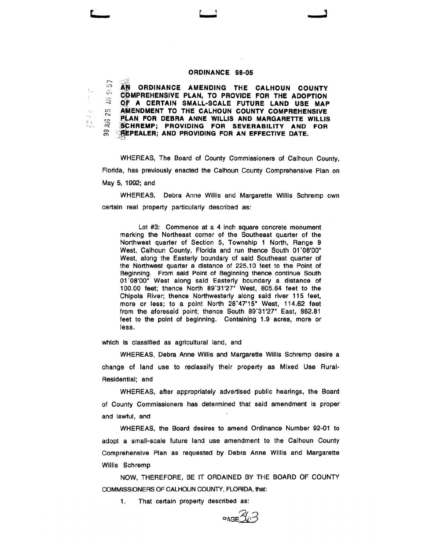## ORDINANCE 98-05

 $\sim$ AN ORDINANCE AMENDING THE CALHOUN COUNTY öv COMPREHENSIVE PLAN, TO PROVIDE FOR THE ADOPTION 語 OF A CERTAIN SMALL-SCALE FUTURE LAND USE MAP 25 AMENDMENT TO THE CALHOUN COUNTY COMPREHENSIVE PLAN FOR DEBRA ANNE WILLIS AND MARGARETTE WILLIS 总 SCHREMP; PROVIDING FOR SEVERABILITY AND FOR 98 REPEALER; AND PROVIDING FOR AN EFFECTIVE DATE.

 $\begin{array}{l} \frac{1}{2} \left( \frac{1}{2} \right) \frac{1}{2} \left( \frac{1}{2} \right) \\ \frac{1}{2} \left( \frac{1}{2} \right) \frac{1}{2} \left( \frac{1}{2} \right) \frac{1}{2} \end{array}$ 

WHEREAS, The Board of County Commissioners of Calhoun County, Florida, has previously enacted the Calhoun County Comprehensive Plan on May 5, 1992; and

WHEREAS, Debra Anne Willis and Margarette Willis Schremp own certain real property particularly described as:

Lot #3: Commence at a 4 inch square concrete monument marking the Northeast corner of the Southeast quarter of the Northwest quarter of Section 5, Township 1 North, Range 9 West, Calhoun County, Florida and run thence South 01'08'00" West, along the Easterly boundary of said Southeast quarter of the Northwest quarter a distance of 225.10 feet to the Point of Beginning. From said Point of Beginning thence continue South 01'08'00" West along said Easterly boundary a distance of 100.00 feet; thence North 89'31'27" West, 805.64 feet to the Chipola River; thence Northwesterly along said river 115 feet, more or less; to a point North 28'47'15" West, 114.62 feet from the aforesaid point; thence South 89'31'27" East, 862.81 feet to the point of beginning. Containing 1.9 acres, more or less.

which is classified as agricultural land, and

WHEREAS, Debra Anne Willis and Margarette Willis Schremp desire a change of land use to reclassify their property as Mixed Use Rural-Residential; and

WHEREAS, after appropriately advertised public hearings, the Board of County Commissioners has determined that said amendment is proper and lawful, and

WHEREAS, the Board desires to amend Ordinance Number 92-01 to adopt a small-scale future land use amendment to the Calhoun County Comprehensive Plan as requested by Debra Anne Willis and Margarette Willis Schremp

NOW, THEREFORE, BE IT ORDAINED BY THE BOARD OF COUNTY COMMISSIONERS OF CALHOUN COUNTY, FLORIDA, that:

That certain property described as:  $1.$ 

 $P_{A}$